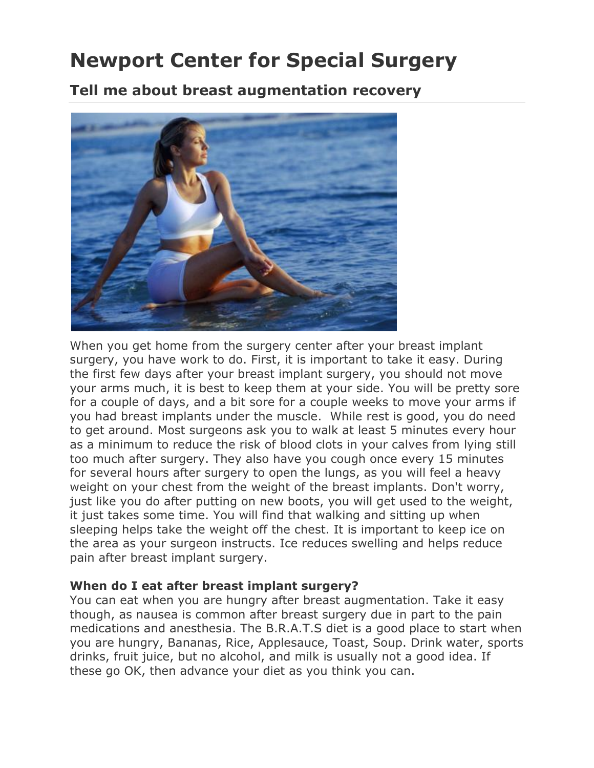# **Newport Center for Special Surgery**

**Tell me about breast augmentation recovery**



When you get home from the surgery center after your breast implant surgery, you have work to do. First, it is important to take it easy. During the first few days after your breast implant surgery, you should not move your arms much, it is best to keep them at your side. You will be pretty sore for a couple of days, and a bit sore for a couple weeks to move your arms if you had breast implants under the muscle. While rest is good, you do need to get around. Most surgeons ask you to walk at least 5 minutes every hour as a minimum to reduce the risk of blood clots in your calves from lying still too much after surgery. They also have you cough once every 15 minutes for several hours after surgery to open the lungs, as you will feel a heavy weight on your chest from the weight of the breast implants. Don't worry, just like you do after putting on new boots, you will get used to the weight, it just takes some time. You will find that walking and sitting up when sleeping helps take the weight off the chest. It is important to keep ice on the area as your surgeon instructs. Ice reduces swelling and helps reduce pain after breast implant surgery.

#### **When do I eat after breast implant surgery?**

You can eat when you are hungry after breast augmentation. Take it easy though, as nausea is common after breast surgery due in part to the pain medications and anesthesia. The B.R.A.T.S diet is a good place to start when you are hungry, Bananas, Rice, Applesauce, Toast, Soup. Drink water, sports drinks, fruit juice, but no alcohol, and milk is usually not a good idea. If these go OK, then advance your diet as you think you can.